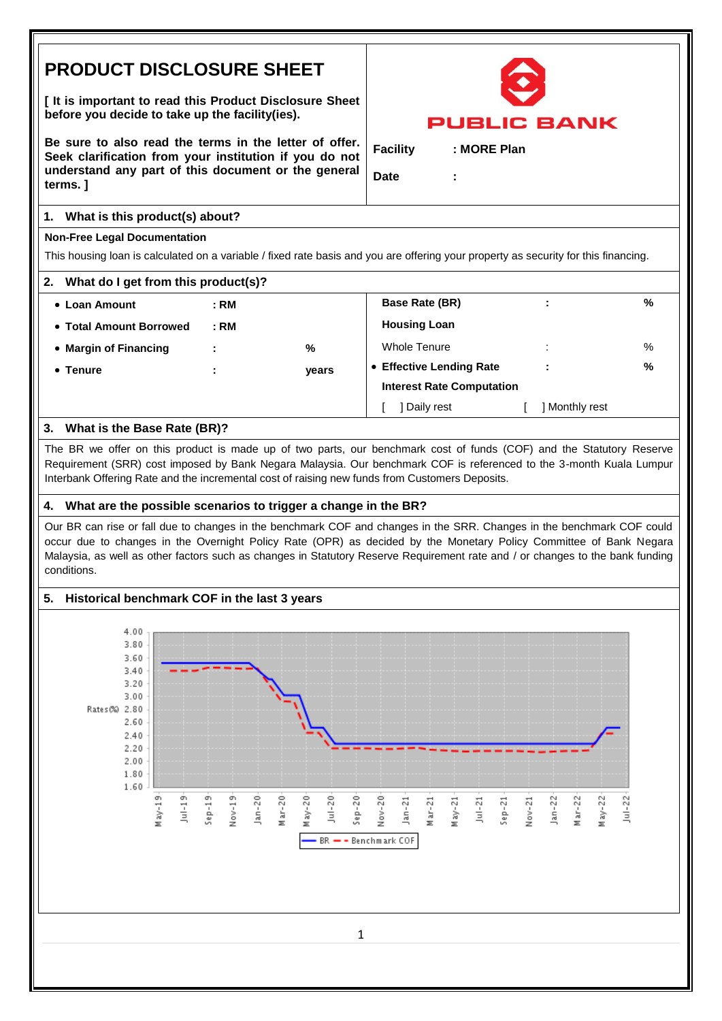# **PRODUCT DISCLOSURE SHEET**

**[ It is important to read this Product Disclosure Sheet before you decide to take up the facility(ies).** 

**Be sure to also read the terms in the letter of offer. Seek clarification from your institution if you do not understand any part of this document or the general terms. ]**

### **1. What is this product(s) about?**

### **Non-Free Legal Documentation**

This housing loan is calculated on a variable / fixed rate basis and you are offering your property as security for this financing.

- **Loan Amount : RM Base Rate (BR) : %**
- Total Amount Borrowed **: RM Housing Loan**
- 
- **Margin of Financing : %** Whole Tenure : %
- 
- **Tenure : years Effective Lending Rate : %**

# **3. What is the Base Rate (BR)?**

The BR we offer on this product is made up of two parts, our benchmark cost of funds (COF) and the Statutory Reserve Requirement (SRR) cost imposed by Bank Negara Malaysia. Our benchmark COF is referenced to the 3-month Kuala Lumpur Interbank Offering Rate and the incremental cost of raising new funds from Customers Deposits.

## **4. What are the possible scenarios to trigger a change in the BR?**

Our BR can rise or fall due to changes in the benchmark COF and changes in the SRR. Changes in the benchmark COF could occur due to changes in the Overnight Policy Rate (OPR) as decided by the Monetary Policy Committee of Bank Negara Malaysia, as well as other factors such as changes in Statutory Reserve Requirement rate and / or changes to the bank funding conditions.

# **5. Historical benchmark COF in the last 3 years**



PUBLIC **BANK** 

**Facility : MORE Plan**

**Interest Rate Computation**

[ ] Daily rest [ ] Monthly rest

**Date :**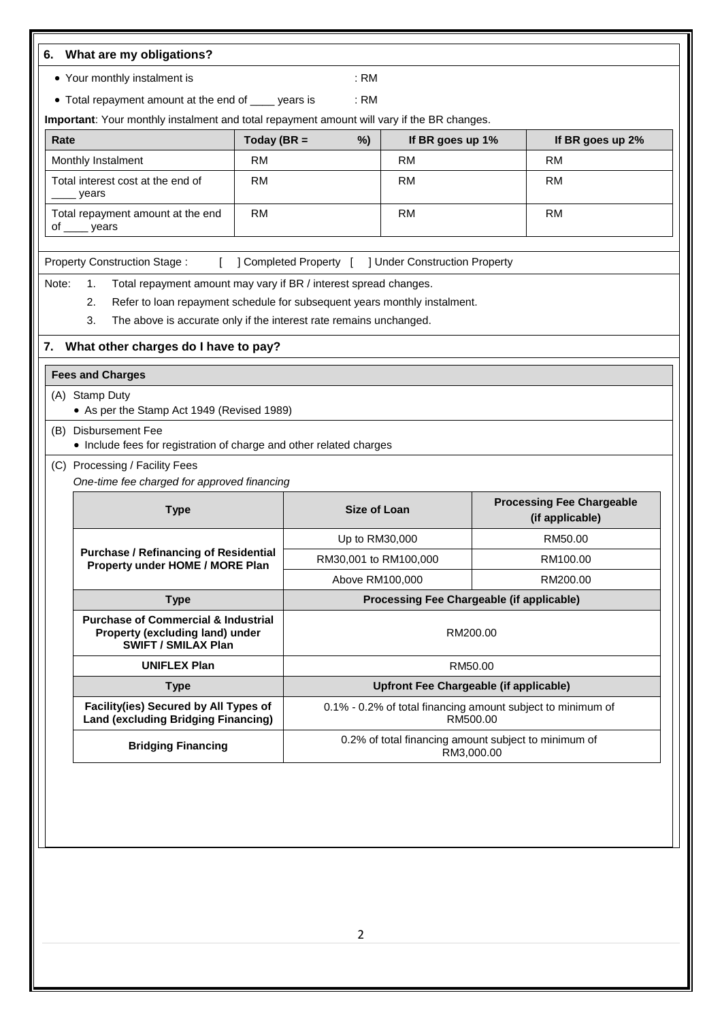| • Your monthly instalment is                                                                                    |               | : <b>RM</b>           |                                                      |                                                             |
|-----------------------------------------------------------------------------------------------------------------|---------------|-----------------------|------------------------------------------------------|-------------------------------------------------------------|
| • Total repayment amount at the end of ____ years is                                                            |               | : <b>RM</b>           |                                                      |                                                             |
| Important: Your monthly instalment and total repayment amount will vary if the BR changes.                      |               |                       |                                                      |                                                             |
| Rate                                                                                                            | Today (BR $=$ | %)                    | If BR goes up 1%                                     | If BR goes up 2%                                            |
| Monthly Instalment                                                                                              | <b>RM</b>     |                       | <b>RM</b>                                            | <b>RM</b>                                                   |
| Total interest cost at the end of<br>years                                                                      | <b>RM</b>     |                       | <b>RM</b>                                            | <b>RM</b>                                                   |
| Total repayment amount at the end<br>of _____ years                                                             | <b>RM</b>     |                       | <b>RM</b>                                            | <b>RM</b>                                                   |
| <b>Property Construction Stage:</b>                                                                             |               |                       | ] Completed Property [ ] Under Construction Property |                                                             |
| Note:<br>Total repayment amount may vary if BR / interest spread changes.<br>1.                                 |               |                       |                                                      |                                                             |
| Refer to loan repayment schedule for subsequent years monthly instalment.<br>2.                                 |               |                       |                                                      |                                                             |
| 3.<br>The above is accurate only if the interest rate remains unchanged.                                        |               |                       |                                                      |                                                             |
| 7. What other charges do I have to pay?                                                                         |               |                       |                                                      |                                                             |
| <b>Fees and Charges</b>                                                                                         |               |                       |                                                      |                                                             |
| (A) Stamp Duty                                                                                                  |               |                       |                                                      |                                                             |
| • As per the Stamp Act 1949 (Revised 1989)                                                                      |               |                       |                                                      |                                                             |
| <b>Disbursement Fee</b><br>(B)<br>• Include fees for registration of charge and other related charges           |               |                       |                                                      |                                                             |
| (C) Processing / Facility Fees                                                                                  |               |                       |                                                      |                                                             |
| One-time fee charged for approved financing                                                                     |               |                       |                                                      |                                                             |
| <b>Type</b>                                                                                                     |               | <b>Size of Loan</b>   |                                                      | <b>Processing Fee Chargeable</b><br>(if applicable)         |
|                                                                                                                 |               | Up to RM30,000        |                                                      | RM50.00                                                     |
| <b>Purchase / Refinancing of Residential</b><br>Property under HOME / MORE Plan                                 |               | RM30,001 to RM100,000 |                                                      | RM100.00                                                    |
|                                                                                                                 |               | Above RM100,000       |                                                      | RM200.00                                                    |
| <b>Type</b>                                                                                                     |               |                       |                                                      | Processing Fee Chargeable (if applicable)                   |
| <b>Purchase of Commercial &amp; Industrial</b><br>Property (excluding land) under<br><b>SWIFT / SMILAX Plan</b> |               |                       | RM200.00                                             |                                                             |
|                                                                                                                 |               |                       | RM50.00                                              |                                                             |
| <b>UNIFLEX Plan</b>                                                                                             |               |                       |                                                      | <b>Upfront Fee Chargeable (if applicable)</b>               |
| <b>Type</b>                                                                                                     |               |                       |                                                      |                                                             |
| Facility(ies) Secured by All Types of<br><b>Land (excluding Bridging Financing)</b>                             |               |                       | RM500.00                                             | 0.1% - 0.2% of total financing amount subject to minimum of |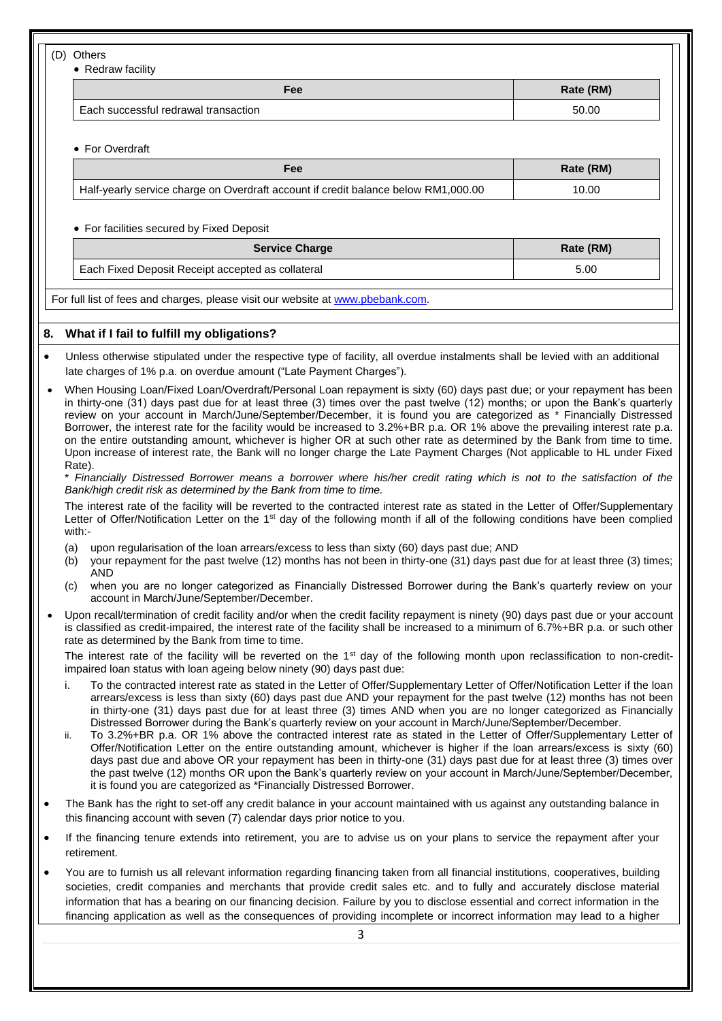(D) Others

• Redraw facility

| . 6                                  | Rate (RM) |
|--------------------------------------|-----------|
| Each successful redrawal transaction | 50.00     |

For Overdraft

| Fee                                                                                | Rate (RM) |
|------------------------------------------------------------------------------------|-----------|
| Half-yearly service charge on Overdraft account if credit balance below RM1,000.00 | 10.00     |

#### For facilities secured by Fixed Deposit

| <b>Service Charge</b>                             | Rate (RM) |
|---------------------------------------------------|-----------|
| Each Fixed Deposit Receipt accepted as collateral | 5.00      |

For full list of fees and charges, please visit our website a[t www.pbebank.com.](http://www.pbebank.com/)

#### **8. What if I fail to fulfill my obligations?**

- Unless otherwise stipulated under the respective type of facility, all overdue instalments shall be levied with an additional late charges of 1% p.a. on overdue amount ("Late Payment Charges").
- When Housing Loan/Fixed Loan/Overdraft/Personal Loan repayment is sixty (60) days past due; or your repayment has been in thirty-one (31) days past due for at least three (3) times over the past twelve (12) months; or upon the Bank's quarterly review on your account in March/June/September/December, it is found you are categorized as \* Financially Distressed Borrower, the interest rate for the facility would be increased to 3.2%+BR p.a. OR 1% above the prevailing interest rate p.a. on the entire outstanding amount, whichever is higher OR at such other rate as determined by the Bank from time to time. Upon increase of interest rate, the Bank will no longer charge the Late Payment Charges (Not applicable to HL under Fixed Rate).

\* *Financially Distressed Borrower means a borrower where his/her credit rating which is not to the satisfaction of the Bank/high credit risk as determined by the Bank from time to time.*

The interest rate of the facility will be reverted to the contracted interest rate as stated in the Letter of Offer/Supplementary Letter of Offer/Notification Letter on the 1<sup>st</sup> day of the following month if all of the following conditions have been complied with:-

- (a) upon regularisation of the loan arrears/excess to less than sixty (60) days past due; AND
- (b) your repayment for the past twelve (12) months has not been in thirty-one (31) days past due for at least three (3) times; AND
- (c) when you are no longer categorized as Financially Distressed Borrower during the Bank's quarterly review on your account in March/June/September/December.
- Upon recall/termination of credit facility and/or when the credit facility repayment is ninety (90) days past due or your account is classified as credit-impaired, the interest rate of the facility shall be increased to a minimum of 6.7%+BR p.a. or such other rate as determined by the Bank from time to time.

The interest rate of the facility will be reverted on the  $1<sup>st</sup>$  day of the following month upon reclassification to non-creditimpaired loan status with loan ageing below ninety (90) days past due:

- i. To the contracted interest rate as stated in the Letter of Offer/Supplementary Letter of Offer/Notification Letter if the loan arrears/excess is less than sixty (60) days past due AND your repayment for the past twelve (12) months has not been in thirty-one (31) days past due for at least three (3) times AND when you are no longer categorized as Financially Distressed Borrower during the Bank's quarterly review on your account in March/June/September/December.
- ii. To 3.2%+BR p.a. OR 1% above the contracted interest rate as stated in the Letter of Offer/Supplementary Letter of Offer/Notification Letter on the entire outstanding amount, whichever is higher if the loan arrears/excess is sixty (60) days past due and above OR your repayment has been in thirty-one (31) days past due for at least three (3) times over the past twelve (12) months OR upon the Bank's quarterly review on your account in March/June/September/December, it is found you are categorized as \*Financially Distressed Borrower.
- The Bank has the right to set-off any credit balance in your account maintained with us against any outstanding balance in this financing account with seven (7) calendar days prior notice to you.
- If the financing tenure extends into retirement, you are to advise us on your plans to service the repayment after your retirement.
- You are to furnish us all relevant information regarding financing taken from all financial institutions, cooperatives, building societies, credit companies and merchants that provide credit sales etc. and to fully and accurately disclose material information that has a bearing on our financing decision. Failure by you to disclose essential and correct information in the financing application as well as the consequences of providing incomplete or incorrect information may lead to a higher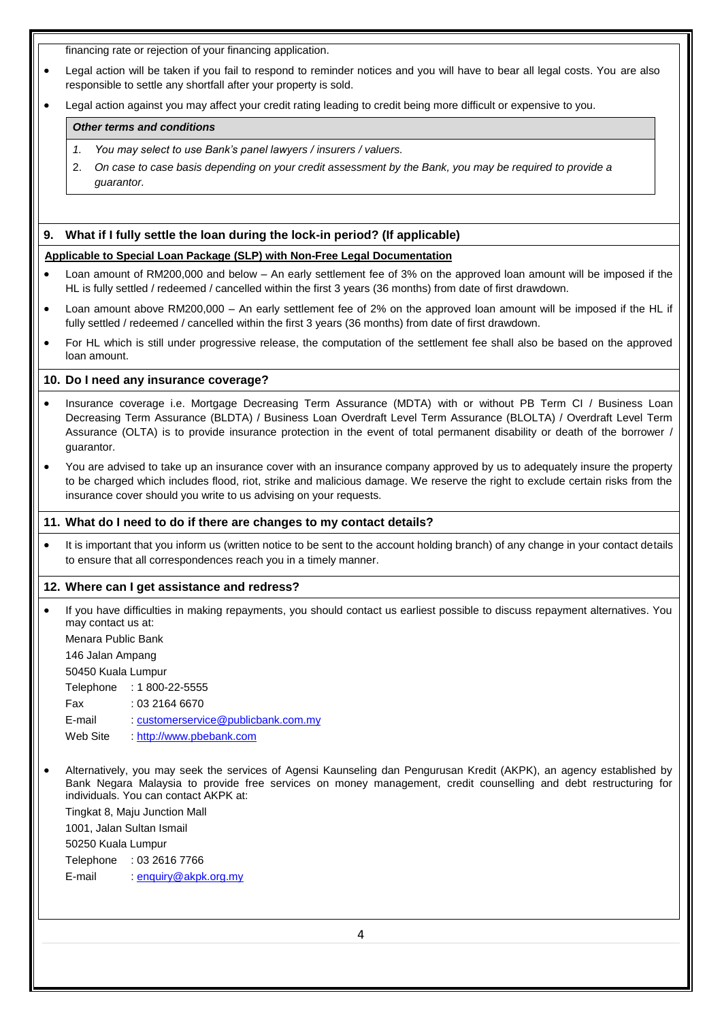financing rate or rejection of your financing application.

| Legal action will be taken if you fail to respond to reminder notices and you will have to bear all legal costs. You are also |  |
|-------------------------------------------------------------------------------------------------------------------------------|--|
| responsible to settle any shortfall after your property is sold.                                                              |  |

Legal action against you may affect your credit rating leading to credit being more difficult or expensive to you.

#### *Other terms and conditions*

- *1. You may select to use Bank's panel lawyers / insurers / valuers.*
- 2. *On case to case basis depending on your credit assessment by the Bank, you may be required to provide a guarantor.*

#### **9. What if I fully settle the loan during the lock-in period? (If applicable)**

#### **Applicable to Special Loan Package (SLP) with Non-Free Legal Documentation**

- Loan amount of RM200,000 and below An early settlement fee of 3% on the approved loan amount will be imposed if the HL is fully settled / redeemed / cancelled within the first 3 years (36 months) from date of first drawdown.
- Loan amount above RM200,000 An early settlement fee of 2% on the approved loan amount will be imposed if the HL if fully settled / redeemed / cancelled within the first 3 years (36 months) from date of first drawdown.
- For HL which is still under progressive release, the computation of the settlement fee shall also be based on the approved loan amount.

#### **10. Do I need any insurance coverage?**

- Insurance coverage i.e. Mortgage Decreasing Term Assurance (MDTA) with or without PB Term CI / Business Loan Decreasing Term Assurance (BLDTA) / Business Loan Overdraft Level Term Assurance (BLOLTA) / Overdraft Level Term Assurance (OLTA) is to provide insurance protection in the event of total permanent disability or death of the borrower guarantor.
- You are advised to take up an insurance cover with an insurance company approved by us to adequately insure the property to be charged which includes flood, riot, strike and malicious damage. We reserve the right to exclude certain risks from the insurance cover should you write to us advising on your requests.

#### **11. What do I need to do if there are changes to my contact details?**

• It is important that you inform us (written notice to be sent to the account holding branch) of any change in your contact details to ensure that all correspondences reach you in a timely manner.

#### **12. Where can I get assistance and redress?**

 If you have difficulties in making repayments, you should contact us earliest possible to discuss repayment alternatives. You may contact us at:

Menara Public Bank

146 Jalan Ampang

50450 Kuala Lumpur

Telephone : 1 800-22-5555

- Fax : 03 2164 6670
- E-mail : [customerservice@publicbank.com.my](mailto:customerservice@publicbank.com.my)
- Web Site : [http://www.pbebank.com](http://www.pbebank.com/)
- Alternatively, you may seek the services of Agensi Kaunseling dan Pengurusan Kredit (AKPK), an agency established by Bank Negara Malaysia to provide free services on money management, credit counselling and debt restructuring for individuals. You can contact AKPK at:

Tingkat 8, Maju Junction Mall

1001, Jalan Sultan Ismail

50250 Kuala Lumpur

Telephone : 03 2616 7766

E-mail : [enquiry@akpk.org.my](mailto:enquiry@akpk.org.my)

4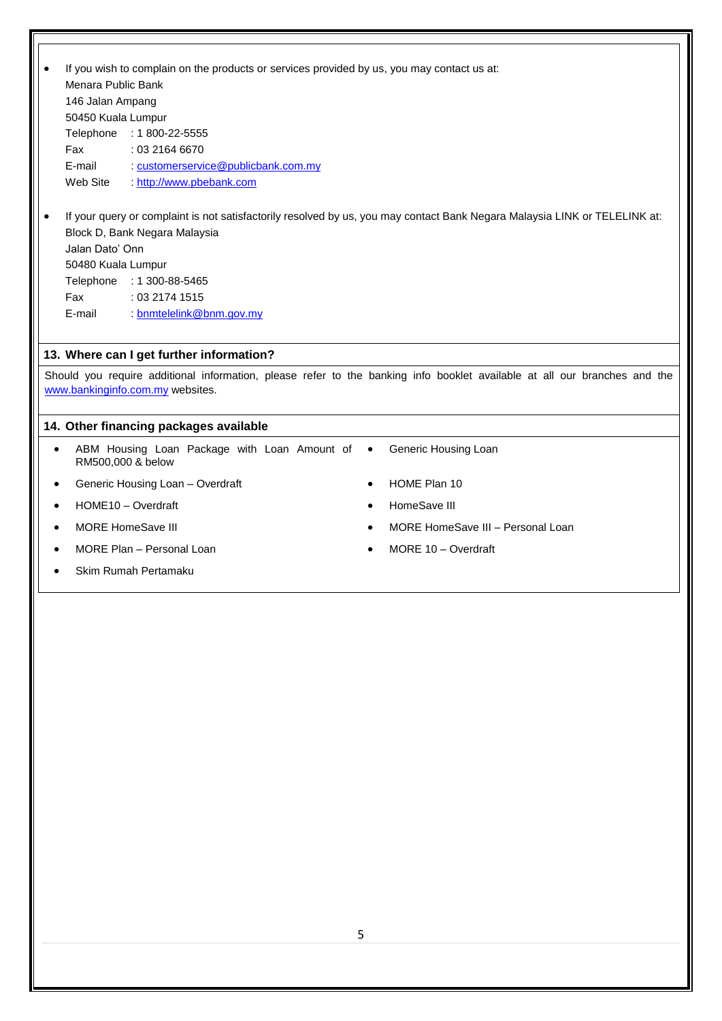|           |                    | If you wish to complain on the products or services provided by us, you may contact us at: |           |                                                                                                                            |
|-----------|--------------------|--------------------------------------------------------------------------------------------|-----------|----------------------------------------------------------------------------------------------------------------------------|
|           | Menara Public Bank |                                                                                            |           |                                                                                                                            |
|           | 146 Jalan Ampang   |                                                                                            |           |                                                                                                                            |
|           | 50450 Kuala Lumpur |                                                                                            |           |                                                                                                                            |
|           | Telephone          | $: 1800 - 22 - 5555$                                                                       |           |                                                                                                                            |
|           | Fax                | : 03 2164 6670                                                                             |           |                                                                                                                            |
|           | E-mail             | : customerservice@publicbank.com.my                                                        |           |                                                                                                                            |
|           | Web Site           | http://www.pbebank.com                                                                     |           |                                                                                                                            |
|           |                    |                                                                                            |           | If your query or complaint is not satisfactorily resolved by us, you may contact Bank Negara Malaysia LINK or TELELINK at: |
|           |                    | Block D, Bank Negara Malaysia                                                              |           |                                                                                                                            |
|           | Jalan Dato' Onn    |                                                                                            |           |                                                                                                                            |
|           | 50480 Kuala Lumpur |                                                                                            |           |                                                                                                                            |
|           |                    | Telephone : 1 300-88-5465                                                                  |           |                                                                                                                            |
|           | Fax                | : 03 2174 1515                                                                             |           |                                                                                                                            |
|           | E-mail             | : bnmtelelink@bnm.gov.my                                                                   |           |                                                                                                                            |
|           |                    |                                                                                            |           |                                                                                                                            |
|           |                    | 13. Where can I get further information?                                                   |           |                                                                                                                            |
|           |                    |                                                                                            |           | Should you require additional information, please refer to the banking info booklet available at all our branches and the  |
|           |                    | www.bankinginfo.com.my websites.                                                           |           |                                                                                                                            |
|           |                    |                                                                                            |           |                                                                                                                            |
|           |                    | 14. Other financing packages available                                                     |           |                                                                                                                            |
| $\bullet$ | RM500,000 & below  | ABM Housing Loan Package with Loan Amount of                                               | $\bullet$ | Generic Housing Loan                                                                                                       |
|           |                    | Generic Housing Loan - Overdraft                                                           |           | HOME Plan 10                                                                                                               |
|           |                    | HOME10 - Overdraft                                                                         |           | HomeSave III                                                                                                               |
|           |                    | <b>MORE HomeSave III</b>                                                                   |           | MORE HomeSave III - Personal Loan                                                                                          |
|           |                    | MORE Plan - Personal Loan                                                                  |           | MORE 10 - Overdraft                                                                                                        |
|           |                    | Skim Rumah Pertamaku                                                                       |           |                                                                                                                            |
|           |                    |                                                                                            |           |                                                                                                                            |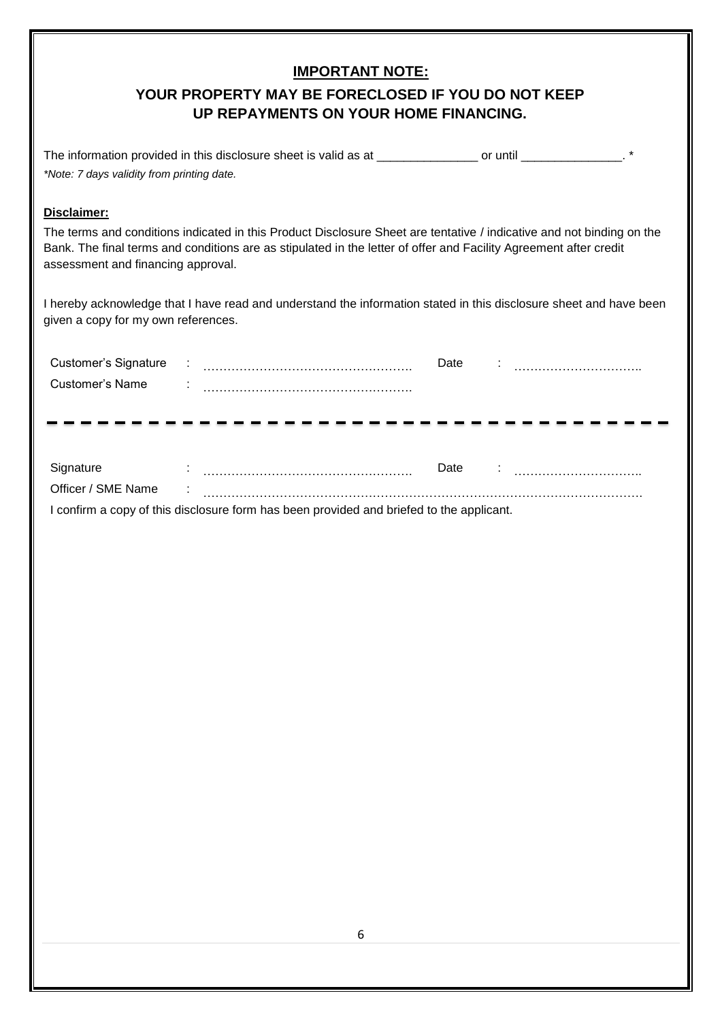### **IMPORTANT NOTE:**

# **YOUR PROPERTY MAY BE FORECLOSED IF YOU DO NOT KEEP UP REPAYMENTS ON YOUR HOME FINANCING.**

| The information provided in this disclosure sheet is valid as at | or until |  |
|------------------------------------------------------------------|----------|--|
| *Note: 7 days validity from printing date.                       |          |  |

### **Disclaimer:**

The terms and conditions indicated in this Product Disclosure Sheet are tentative / indicative and not binding on the Bank. The final terms and conditions are as stipulated in the letter of offer and Facility Agreement after credit assessment and financing approval.

I hereby acknowledge that I have read and understand the information stated in this disclosure sheet and have been given a copy for my own references.

| Customer's Signature |  | Date |  |
|----------------------|--|------|--|
| Customer's Name      |  |      |  |
|                      |  |      |  |

| Signature          | Date                                                                                     |
|--------------------|------------------------------------------------------------------------------------------|
| Officer / SME Name |                                                                                          |
|                    | I confirm a copy of this disclosure form has been provided and briefed to the applicant. |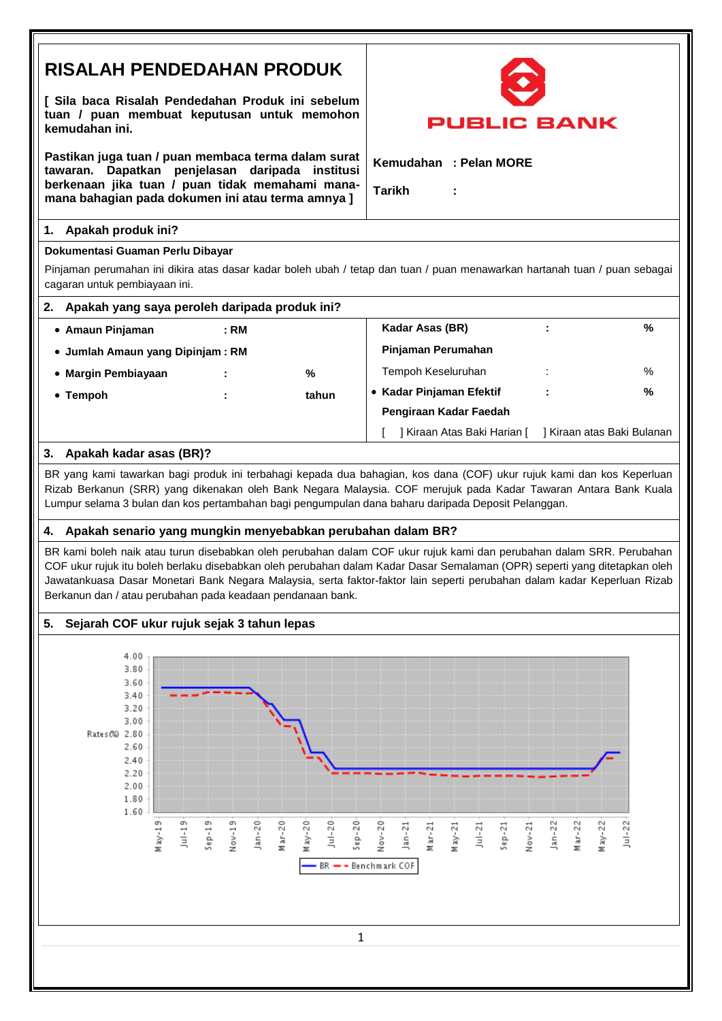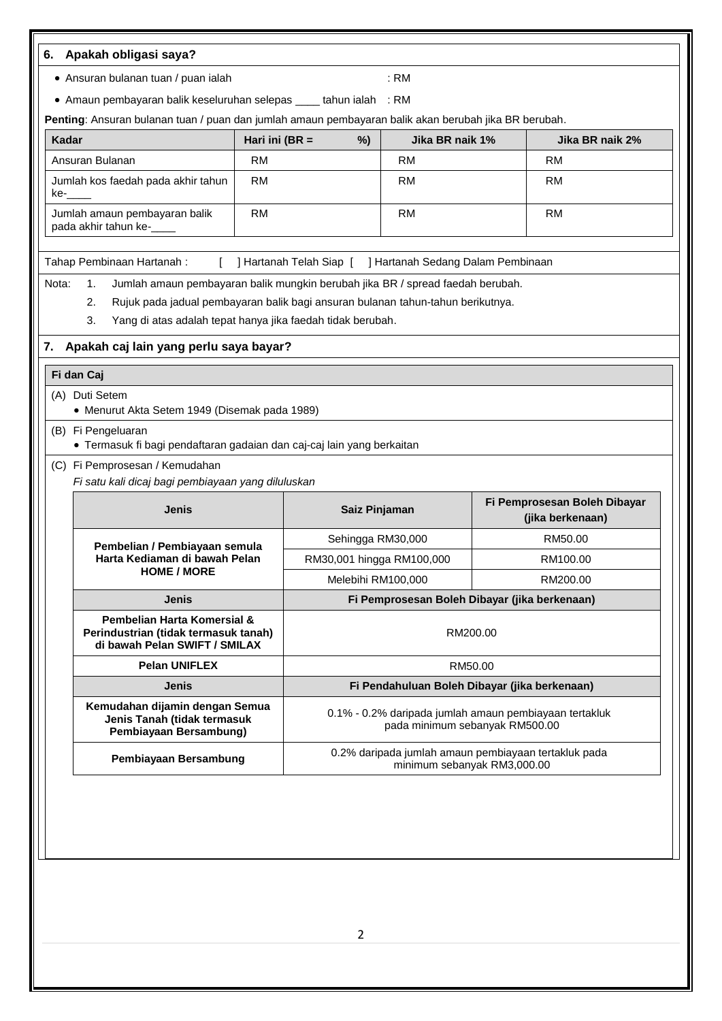|       | • Ansuran bulanan tuan / puan ialah                                                                                                                                                                                                               |                   |                           | : RM                                                      |                                                                                          |
|-------|---------------------------------------------------------------------------------------------------------------------------------------------------------------------------------------------------------------------------------------------------|-------------------|---------------------------|-----------------------------------------------------------|------------------------------------------------------------------------------------------|
|       | • Amaun pembayaran balik keseluruhan selepas ____ tahun ialah : RM<br>Penting: Ansuran bulanan tuan / puan dan jumlah amaun pembayaran balik akan berubah jika BR berubah.                                                                        |                   |                           |                                                           |                                                                                          |
| Kadar |                                                                                                                                                                                                                                                   | Hari ini ( $BR =$ | %)                        | Jika BR naik 1%                                           | Jika BR naik 2%                                                                          |
|       | Ansuran Bulanan                                                                                                                                                                                                                                   | <b>RM</b>         |                           | <b>RM</b>                                                 | <b>RM</b>                                                                                |
| ke-   | Jumlah kos faedah pada akhir tahun                                                                                                                                                                                                                | <b>RM</b>         |                           | <b>RM</b>                                                 | <b>RM</b>                                                                                |
|       | Jumlah amaun pembayaran balik<br>pada akhir tahun ke-__                                                                                                                                                                                           | <b>RM</b>         |                           | <b>RM</b>                                                 | <b>RM</b>                                                                                |
|       | Tahap Pembinaan Hartanah:                                                                                                                                                                                                                         |                   |                           | ] Hartanah Telah Siap [ ] Hartanah Sedang Dalam Pembinaan |                                                                                          |
| Nota: | Jumlah amaun pembayaran balik mungkin berubah jika BR / spread faedah berubah.<br>1.<br>Rujuk pada jadual pembayaran balik bagi ansuran bulanan tahun-tahun berikutnya.<br>2.<br>3.<br>Yang di atas adalah tepat hanya jika faedah tidak berubah. |                   |                           |                                                           |                                                                                          |
| 7.    | Apakah caj lain yang perlu saya bayar?                                                                                                                                                                                                            |                   |                           |                                                           |                                                                                          |
|       | Fi dan Caj                                                                                                                                                                                                                                        |                   |                           |                                                           |                                                                                          |
|       | (A) Duti Setem                                                                                                                                                                                                                                    |                   |                           |                                                           |                                                                                          |
|       | • Menurut Akta Setem 1949 (Disemak pada 1989)                                                                                                                                                                                                     |                   |                           |                                                           |                                                                                          |
|       | (B) Fi Pengeluaran<br>• Termasuk fi bagi pendaftaran gadaian dan caj-caj lain yang berkaitan                                                                                                                                                      |                   |                           |                                                           |                                                                                          |
|       | (C) Fi Pemprosesan / Kemudahan                                                                                                                                                                                                                    |                   |                           |                                                           |                                                                                          |
|       | Fi satu kali dicaj bagi pembiayaan yang diluluskan                                                                                                                                                                                                |                   |                           |                                                           |                                                                                          |
|       | Jenis                                                                                                                                                                                                                                             |                   | Saiz Pinjaman             |                                                           | Fi Pemprosesan Boleh Dibayar<br>(jika berkenaan)                                         |
|       |                                                                                                                                                                                                                                                   |                   | Sehingga RM30,000         |                                                           | RM50.00                                                                                  |
|       | Pembelian / Pembiayaan semula<br>Harta Kediaman di bawah Pelan                                                                                                                                                                                    |                   | RM30,001 hingga RM100,000 |                                                           | RM100.00                                                                                 |
|       | <b>HOME / MORE</b>                                                                                                                                                                                                                                |                   | Melebihi RM100,000        |                                                           | RM200.00                                                                                 |
|       | <b>Jenis</b>                                                                                                                                                                                                                                      |                   |                           |                                                           | Fi Pemprosesan Boleh Dibayar (jika berkenaan)                                            |
|       | Pembelian Harta Komersial &<br>Perindustrian (tidak termasuk tanah)<br>di bawah Pelan SWIFT / SMILAX                                                                                                                                              |                   |                           |                                                           | RM200.00                                                                                 |
|       | <b>Pelan UNIFLEX</b>                                                                                                                                                                                                                              |                   |                           |                                                           | RM50.00                                                                                  |
|       | <b>Jenis</b>                                                                                                                                                                                                                                      |                   |                           |                                                           | Fi Pendahuluan Boleh Dibayar (jika berkenaan)                                            |
|       | Kemudahan dijamin dengan Semua<br>Jenis Tanah (tidak termasuk<br>Pembiayaan Bersambung)                                                                                                                                                           |                   |                           |                                                           | 0.1% - 0.2% daripada jumlah amaun pembiayaan tertakluk<br>pada minimum sebanyak RM500.00 |

2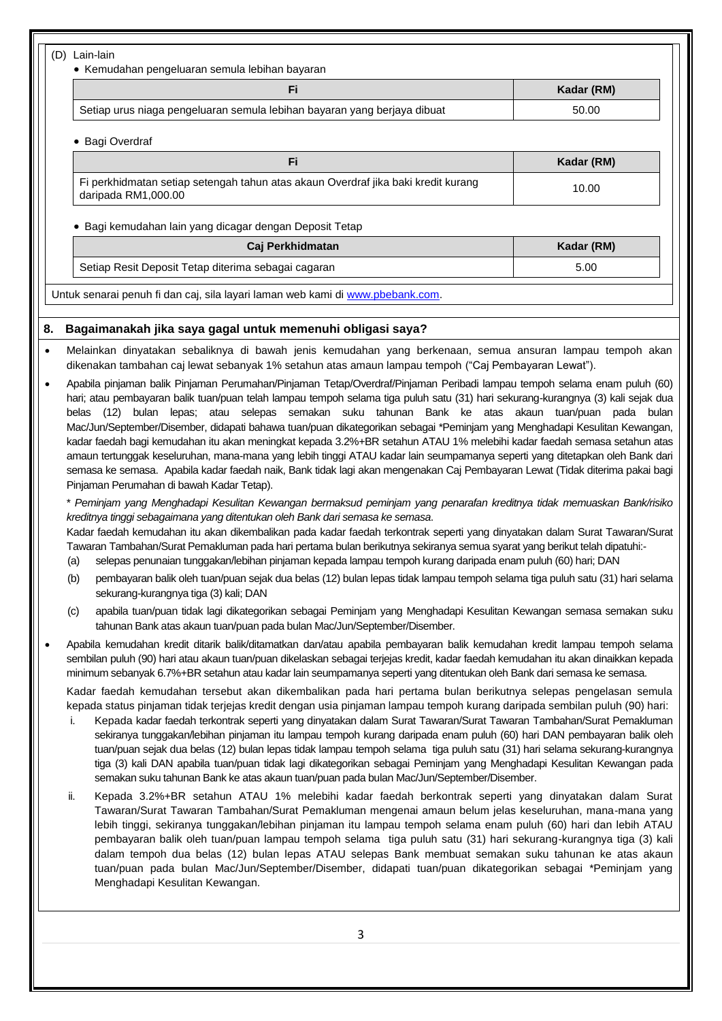| Fi.                                                                                                      | Kadar (RM) |
|----------------------------------------------------------------------------------------------------------|------------|
| Setiap urus niaga pengeluaran semula lebihan bayaran yang berjaya dibuat                                 | 50.00      |
| Bagi Overdraf<br>$\bullet$                                                                               |            |
| Fi                                                                                                       | Kadar (RM) |
| Fi perkhidmatan setiap setengah tahun atas akaun Overdraf jika baki kredit kurang<br>daripada RM1,000.00 | 10.00      |
|                                                                                                          |            |
| Bagi kemudahan lain yang dicagar dengan Deposit Tetap                                                    |            |
| Caj Perkhidmatan                                                                                         | Kadar (RM) |
| Setiap Resit Deposit Tetap diterima sebagai cagaran                                                      | 5.00       |
| Untuk senarai penuh fi dan caj, sila layari laman web kami di www.pbebank.com.                           |            |

- dikenakan tambahan caj lewat sebanyak 1% setahun atas amaun lampau tempoh ("Caj Pembayaran Lewat"). Apabila pinjaman balik Pinjaman Perumahan/Pinjaman Tetap/Overdraf/Pinjaman Peribadi lampau tempoh selama enam puluh (60)
- hari; atau pembayaran balik tuan/puan telah lampau tempoh selama tiga puluh satu (31) hari sekurang-kurangnya (3) kali sejak dua belas (12) bulan lepas; atau selepas semakan suku tahunan Bank ke atas akaun tuan/puan pada bulan Mac/Jun/September/Disember, didapati bahawa tuan/puan dikategorikan sebagai \*Peminjam yang Menghadapi Kesulitan Kewangan, kadar faedah bagi kemudahan itu akan meningkat kepada 3.2%+BR setahun ATAU 1% melebihi kadar faedah semasa setahun atas amaun tertunggak keseluruhan, mana-mana yang lebih tinggi ATAU kadar lain seumpamanya seperti yang ditetapkan oleh Bank dari semasa ke semasa. Apabila kadar faedah naik, Bank tidak lagi akan mengenakan Caj Pembayaran Lewat (Tidak diterima pakai bagi Pinjaman Perumahan di bawah Kadar Tetap).

\* *Peminjam yang Menghadapi Kesulitan Kewangan bermaksud peminjam yang penarafan kreditnya tidak memuaskan Bank/risiko kreditnya tinggi sebagaimana yang ditentukan oleh Bank dari semasa ke semasa*.

Kadar faedah kemudahan itu akan dikembalikan pada kadar faedah terkontrak seperti yang dinyatakan dalam Surat Tawaran/Surat Tawaran Tambahan/Surat Pemakluman pada hari pertama bulan berikutnya sekiranya semua syarat yang berikut telah dipatuhi:-

- (a) selepas penunaian tunggakan/lebihan pinjaman kepada lampau tempoh kurang daripada enam puluh (60) hari; DAN
- (b) pembayaran balik oleh tuan/puan sejak dua belas (12) bulan lepas tidak lampau tempoh selama tiga puluh satu (31) hari selama sekurang-kurangnya tiga (3) kali; DAN
- (c) apabila tuan/puan tidak lagi dikategorikan sebagai Peminjam yang Menghadapi Kesulitan Kewangan semasa semakan suku tahunan Bank atas akaun tuan/puan pada bulan Mac/Jun/September/Disember.
- Apabila kemudahan kredit ditarik balik/ditamatkan dan/atau apabila pembayaran balik kemudahan kredit lampau tempoh selama sembilan puluh (90) hari atau akaun tuan/puan dikelaskan sebagai terjejas kredit, kadar faedah kemudahan itu akan dinaikkan kepada minimum sebanyak 6.7%+BR setahun atau kadar lain seumpamanya seperti yang ditentukan oleh Bank dari semasa ke semasa.

Kadar faedah kemudahan tersebut akan dikembalikan pada hari pertama bulan berikutnya selepas pengelasan semula kepada status pinjaman tidak terjejas kredit dengan usia pinjaman lampau tempoh kurang daripada sembilan puluh (90) hari:

- i. Kepada kadar faedah terkontrak seperti yang dinyatakan dalam Surat Tawaran/Surat Tawaran Tambahan/Surat Pemakluman sekiranya tunggakan/lebihan pinjaman itu lampau tempoh kurang daripada enam puluh (60) hari DAN pembayaran balik oleh tuan/puan sejak dua belas (12) bulan lepas tidak lampau tempoh selama tiga puluh satu (31) hari selama sekurang-kurangnya tiga (3) kali DAN apabila tuan/puan tidak lagi dikategorikan sebagai Peminjam yang Menghadapi Kesulitan Kewangan pada semakan suku tahunan Bank ke atas akaun tuan/puan pada bulan Mac/Jun/September/Disember.
- ii. Kepada 3.2%+BR setahun ATAU 1% melebihi kadar faedah berkontrak seperti yang dinyatakan dalam Surat Tawaran/Surat Tawaran Tambahan/Surat Pemakluman mengenai amaun belum jelas keseluruhan, mana-mana yang lebih tinggi, sekiranya tunggakan/lebihan pinjaman itu lampau tempoh selama enam puluh (60) hari dan lebih ATAU pembayaran balik oleh tuan/puan lampau tempoh selama tiga puluh satu (31) hari sekurang-kurangnya tiga (3) kali dalam tempoh dua belas (12) bulan lepas ATAU selepas Bank membuat semakan suku tahunan ke atas akaun tuan/puan pada bulan Mac/Jun/September/Disember, didapati tuan/puan dikategorikan sebagai \*Peminjam yang Menghadapi Kesulitan Kewangan.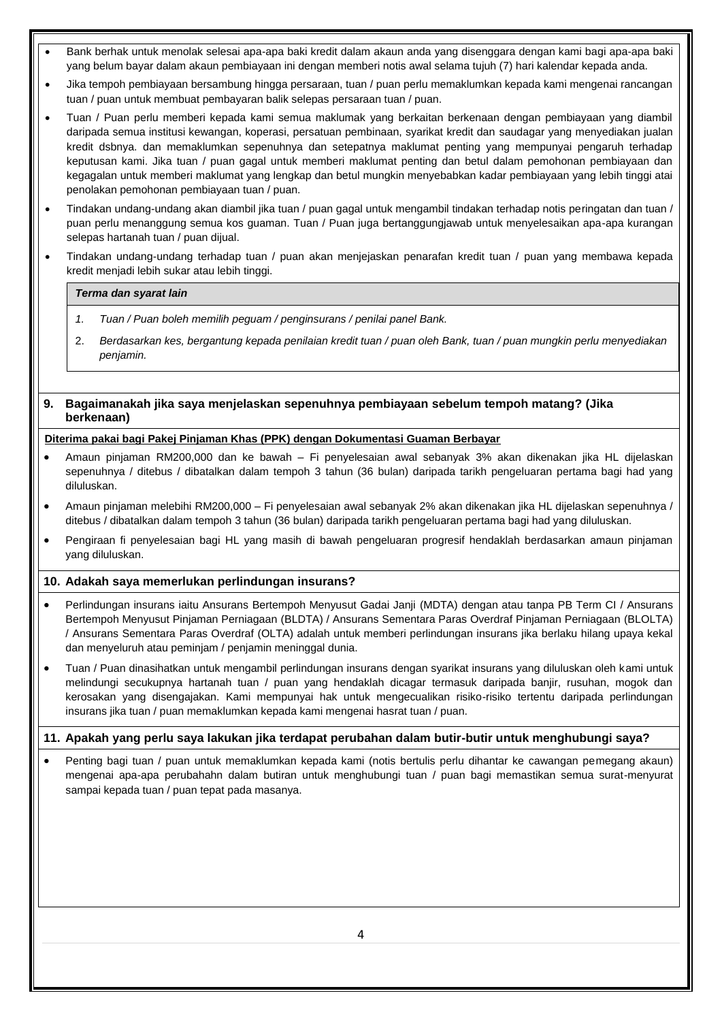- Bank berhak untuk menolak selesai apa-apa baki kredit dalam akaun anda yang disenggara dengan kami bagi apa-apa baki yang belum bayar dalam akaun pembiayaan ini dengan memberi notis awal selama tujuh (7) hari kalendar kepada anda.
- Jika tempoh pembiayaan bersambung hingga persaraan, tuan / puan perlu memaklumkan kepada kami mengenai rancangan tuan / puan untuk membuat pembayaran balik selepas persaraan tuan / puan.
- Tuan / Puan perlu memberi kepada kami semua maklumak yang berkaitan berkenaan dengan pembiayaan yang diambil daripada semua institusi kewangan, koperasi, persatuan pembinaan, syarikat kredit dan saudagar yang menyediakan jualan kredit dsbnya. dan memaklumkan sepenuhnya dan setepatnya maklumat penting yang mempunyai pengaruh terhadap keputusan kami. Jika tuan / puan gagal untuk memberi maklumat penting dan betul dalam pemohonan pembiayaan dan kegagalan untuk memberi maklumat yang lengkap dan betul mungkin menyebabkan kadar pembiayaan yang lebih tinggi atai penolakan pemohonan pembiayaan tuan / puan.
- Tindakan undang-undang akan diambil jika tuan / puan gagal untuk mengambil tindakan terhadap notis peringatan dan tuan / puan perlu menanggung semua kos guaman. Tuan / Puan juga bertanggungjawab untuk menyelesaikan apa-apa kurangan selepas hartanah tuan / puan dijual.
- Tindakan undang-undang terhadap tuan / puan akan menjejaskan penarafan kredit tuan / puan yang membawa kepada kredit menjadi lebih sukar atau lebih tinggi.

#### *Terma dan syarat lain*

- *1. Tuan / Puan boleh memilih peguam / penginsurans / penilai panel Bank.*
- 2. *Berdasarkan kes, bergantung kepada penilaian kredit tuan / puan oleh Bank, tuan / puan mungkin perlu menyediakan penjamin.*

#### **9. Bagaimanakah jika saya menjelaskan sepenuhnya pembiayaan sebelum tempoh matang? (Jika berkenaan)**

#### **Diterima pakai bagi Pakej Pinjaman Khas (PPK) dengan Dokumentasi Guaman Berbayar**

- Amaun pinjaman RM200,000 dan ke bawah Fi penyelesaian awal sebanyak 3% akan dikenakan jika HL dijelaskan sepenuhnya / ditebus / dibatalkan dalam tempoh 3 tahun (36 bulan) daripada tarikh pengeluaran pertama bagi had yang diluluskan.
- Amaun pinjaman melebihi RM200,000 Fi penyelesaian awal sebanyak 2% akan dikenakan jika HL dijelaskan sepenuhnya / ditebus / dibatalkan dalam tempoh 3 tahun (36 bulan) daripada tarikh pengeluaran pertama bagi had yang diluluskan.
- Pengiraan fi penyelesaian bagi HL yang masih di bawah pengeluaran progresif hendaklah berdasarkan amaun pinjaman yang diluluskan.

#### **10. Adakah saya memerlukan perlindungan insurans?**

- Perlindungan insurans iaitu Ansurans Bertempoh Menyusut Gadai Janji (MDTA) dengan atau tanpa PB Term CI / Ansurans Bertempoh Menyusut Pinjaman Perniagaan (BLDTA) / Ansurans Sementara Paras Overdraf Pinjaman Perniagaan (BLOLTA) / Ansurans Sementara Paras Overdraf (OLTA) adalah untuk memberi perlindungan insurans jika berlaku hilang upaya kekal dan menyeluruh atau peminjam / penjamin meninggal dunia.
- Tuan / Puan dinasihatkan untuk mengambil perlindungan insurans dengan syarikat insurans yang diluluskan oleh kami untuk melindungi secukupnya hartanah tuan / puan yang hendaklah dicagar termasuk daripada banjir, rusuhan, mogok dan kerosakan yang disengajakan. Kami mempunyai hak untuk mengecualikan risiko-risiko tertentu daripada perlindungan insurans jika tuan / puan memaklumkan kepada kami mengenai hasrat tuan / puan.

#### **11. Apakah yang perlu saya lakukan jika terdapat perubahan dalam butir-butir untuk menghubungi saya?**

 Penting bagi tuan / puan untuk memaklumkan kepada kami (notis bertulis perlu dihantar ke cawangan pemegang akaun) mengenai apa-apa perubahahn dalam butiran untuk menghubungi tuan / puan bagi memastikan semua surat-menyurat sampai kepada tuan / puan tepat pada masanya.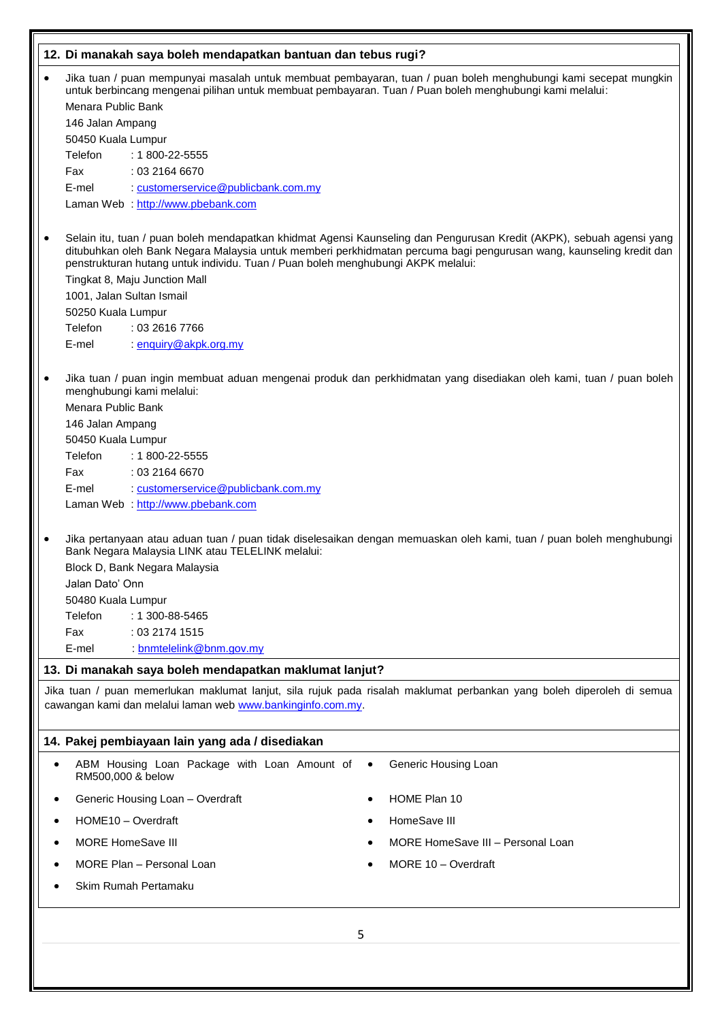|                                                                                                                                                                                                                                                |                                                                                                                                                                                                                                                                                                                                                                                                                                                                                                                                                                                                                                                 | 12. Di manakah saya boleh mendapatkan bantuan dan tebus rugi? |                                   |  |  |  |  |  |  |  |  |
|------------------------------------------------------------------------------------------------------------------------------------------------------------------------------------------------------------------------------------------------|-------------------------------------------------------------------------------------------------------------------------------------------------------------------------------------------------------------------------------------------------------------------------------------------------------------------------------------------------------------------------------------------------------------------------------------------------------------------------------------------------------------------------------------------------------------------------------------------------------------------------------------------------|---------------------------------------------------------------|-----------------------------------|--|--|--|--|--|--|--|--|
| $\bullet$                                                                                                                                                                                                                                      | Jika tuan / puan mempunyai masalah untuk membuat pembayaran, tuan / puan boleh menghubungi kami secepat mungkin<br>untuk berbincang mengenai pilihan untuk membuat pembayaran. Tuan / Puan boleh menghubungi kami melalui:                                                                                                                                                                                                                                                                                                                                                                                                                      |                                                               |                                   |  |  |  |  |  |  |  |  |
|                                                                                                                                                                                                                                                | Menara Public Bank                                                                                                                                                                                                                                                                                                                                                                                                                                                                                                                                                                                                                              |                                                               |                                   |  |  |  |  |  |  |  |  |
|                                                                                                                                                                                                                                                | 146 Jalan Ampang<br>50450 Kuala Lumpur                                                                                                                                                                                                                                                                                                                                                                                                                                                                                                                                                                                                          |                                                               |                                   |  |  |  |  |  |  |  |  |
|                                                                                                                                                                                                                                                | Telefon                                                                                                                                                                                                                                                                                                                                                                                                                                                                                                                                                                                                                                         | $: 1800 - 22 - 5555$                                          |                                   |  |  |  |  |  |  |  |  |
|                                                                                                                                                                                                                                                | Fax                                                                                                                                                                                                                                                                                                                                                                                                                                                                                                                                                                                                                                             | : 03 2164 6670                                                |                                   |  |  |  |  |  |  |  |  |
|                                                                                                                                                                                                                                                | E-mel                                                                                                                                                                                                                                                                                                                                                                                                                                                                                                                                                                                                                                           | : customerservice@publicbank.com.my                           |                                   |  |  |  |  |  |  |  |  |
|                                                                                                                                                                                                                                                |                                                                                                                                                                                                                                                                                                                                                                                                                                                                                                                                                                                                                                                 | Laman Web : http://www.pbebank.com                            |                                   |  |  |  |  |  |  |  |  |
| $\bullet$                                                                                                                                                                                                                                      | Selain itu, tuan / puan boleh mendapatkan khidmat Agensi Kaunseling dan Pengurusan Kredit (AKPK), sebuah agensi yang<br>ditubuhkan oleh Bank Negara Malaysia untuk memberi perkhidmatan percuma bagi pengurusan wang, kaunseling kredit dan<br>penstrukturan hutang untuk individu. Tuan / Puan boleh menghubungi AKPK melalui:                                                                                                                                                                                                                                                                                                                 |                                                               |                                   |  |  |  |  |  |  |  |  |
|                                                                                                                                                                                                                                                |                                                                                                                                                                                                                                                                                                                                                                                                                                                                                                                                                                                                                                                 | Tingkat 8, Maju Junction Mall                                 |                                   |  |  |  |  |  |  |  |  |
|                                                                                                                                                                                                                                                | 1001, Jalan Sultan Ismail                                                                                                                                                                                                                                                                                                                                                                                                                                                                                                                                                                                                                       |                                                               |                                   |  |  |  |  |  |  |  |  |
|                                                                                                                                                                                                                                                | 50250 Kuala Lumpur<br>Telefon                                                                                                                                                                                                                                                                                                                                                                                                                                                                                                                                                                                                                   | : 03 2616 7766                                                |                                   |  |  |  |  |  |  |  |  |
|                                                                                                                                                                                                                                                | E-mel                                                                                                                                                                                                                                                                                                                                                                                                                                                                                                                                                                                                                                           | enquiry@akpk.org.my                                           |                                   |  |  |  |  |  |  |  |  |
| $\bullet$<br>$\bullet$                                                                                                                                                                                                                         | Jika tuan / puan ingin membuat aduan mengenai produk dan perkhidmatan yang disediakan oleh kami, tuan / puan boleh<br>menghubungi kami melalui:<br>Menara Public Bank<br>146 Jalan Ampang<br>50450 Kuala Lumpur<br>Telefon<br>: 1 800-22-5555<br>Fax<br>: 03 2164 6670<br>E-mel<br>: customerservice@publicbank.com.my<br>Laman Web : http://www.pbebank.com<br>Jika pertanyaan atau aduan tuan / puan tidak diselesaikan dengan memuaskan oleh kami, tuan / puan boleh menghubungi<br>Bank Negara Malaysia LINK atau TELELINK melalui:<br>Block D, Bank Negara Malaysia<br>Jalan Dato' Onn<br>50480 Kuala Lumpur<br>Telefon<br>: 1 300-88-5465 |                                                               |                                   |  |  |  |  |  |  |  |  |
|                                                                                                                                                                                                                                                | Fax<br>E-mel                                                                                                                                                                                                                                                                                                                                                                                                                                                                                                                                                                                                                                    | : 0321741515<br>: bnmtelelink@bnm.gov.my                      |                                   |  |  |  |  |  |  |  |  |
|                                                                                                                                                                                                                                                |                                                                                                                                                                                                                                                                                                                                                                                                                                                                                                                                                                                                                                                 |                                                               |                                   |  |  |  |  |  |  |  |  |
| 13. Di manakah saya boleh mendapatkan maklumat lanjut?<br>Jika tuan / puan memerlukan maklumat lanjut, sila rujuk pada risalah maklumat perbankan yang boleh diperoleh di semua<br>cawangan kami dan melalui laman web www.bankinginfo.com.my. |                                                                                                                                                                                                                                                                                                                                                                                                                                                                                                                                                                                                                                                 |                                                               |                                   |  |  |  |  |  |  |  |  |
|                                                                                                                                                                                                                                                |                                                                                                                                                                                                                                                                                                                                                                                                                                                                                                                                                                                                                                                 | 14. Pakej pembiayaan lain yang ada / disediakan               |                                   |  |  |  |  |  |  |  |  |
| $\bullet$                                                                                                                                                                                                                                      | RM500,000 & below                                                                                                                                                                                                                                                                                                                                                                                                                                                                                                                                                                                                                               | ABM Housing Loan Package with Loan Amount of                  | Generic Housing Loan<br>$\bullet$ |  |  |  |  |  |  |  |  |
|                                                                                                                                                                                                                                                |                                                                                                                                                                                                                                                                                                                                                                                                                                                                                                                                                                                                                                                 | Generic Housing Loan - Overdraft                              | HOME Plan 10                      |  |  |  |  |  |  |  |  |
|                                                                                                                                                                                                                                                | HOME10 - Overdraft                                                                                                                                                                                                                                                                                                                                                                                                                                                                                                                                                                                                                              |                                                               | HomeSave III                      |  |  |  |  |  |  |  |  |
|                                                                                                                                                                                                                                                | <b>MORE HomeSave III</b>                                                                                                                                                                                                                                                                                                                                                                                                                                                                                                                                                                                                                        |                                                               | MORE HomeSave III - Personal Loan |  |  |  |  |  |  |  |  |
|                                                                                                                                                                                                                                                |                                                                                                                                                                                                                                                                                                                                                                                                                                                                                                                                                                                                                                                 | MORE Plan - Personal Loan                                     | MORE 10 - Overdraft               |  |  |  |  |  |  |  |  |
|                                                                                                                                                                                                                                                |                                                                                                                                                                                                                                                                                                                                                                                                                                                                                                                                                                                                                                                 | Skim Rumah Pertamaku                                          |                                   |  |  |  |  |  |  |  |  |
|                                                                                                                                                                                                                                                |                                                                                                                                                                                                                                                                                                                                                                                                                                                                                                                                                                                                                                                 |                                                               |                                   |  |  |  |  |  |  |  |  |
|                                                                                                                                                                                                                                                | 5                                                                                                                                                                                                                                                                                                                                                                                                                                                                                                                                                                                                                                               |                                                               |                                   |  |  |  |  |  |  |  |  |
|                                                                                                                                                                                                                                                |                                                                                                                                                                                                                                                                                                                                                                                                                                                                                                                                                                                                                                                 |                                                               |                                   |  |  |  |  |  |  |  |  |